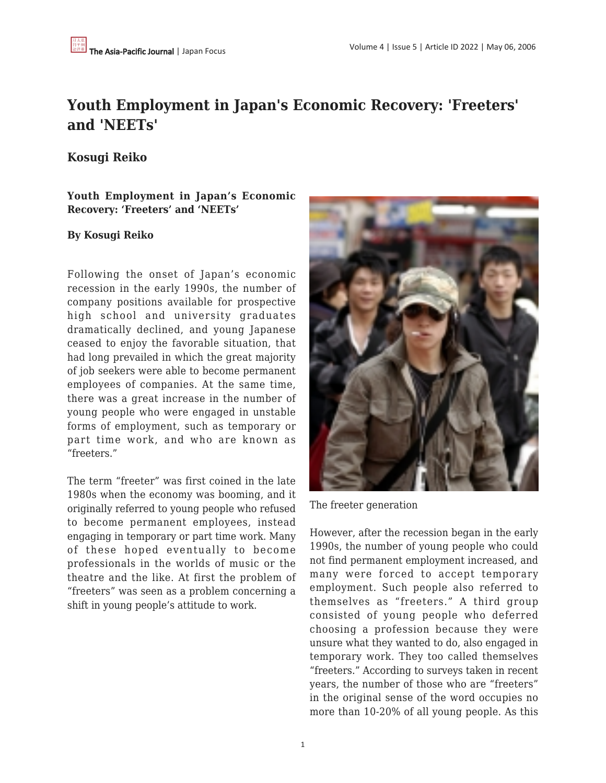# **Youth Employment in Japan's Economic Recovery: 'Freeters' and 'NEETs'**

## **Kosugi Reiko**

**Youth Employment in Japan's Economic Recovery: 'Freeters' and 'NEETs'**

#### **By Kosugi Reiko**

Following the onset of Japan's economic recession in the early 1990s, the number of company positions available for prospective high school and university graduates dramatically declined, and young Japanese ceased to enjoy the favorable situation, that had long prevailed in which the great majority of job seekers were able to become permanent employees of companies. At the same time, there was a great increase in the number of young people who were engaged in unstable forms of employment, such as temporary or part time work, and who are known as "freeters."

The term "freeter" was first coined in the late 1980s when the economy was booming, and it originally referred to young people who refused to become permanent employees, instead engaging in temporary or part time work. Many of these hoped eventually to become professionals in the worlds of music or the theatre and the like. At first the problem of "freeters" was seen as a problem concerning a shift in young people's attitude to work.



The freeter generation

However, after the recession began in the early 1990s, the number of young people who could not find permanent employment increased, and many were forced to accept temporary employment. Such people also referred to themselves as "freeters." A third group consisted of young people who deferred choosing a profession because they were unsure what they wanted to do, also engaged in temporary work. They too called themselves "freeters." According to surveys taken in recent years, the number of those who are "freeters" in the original sense of the word occupies no more than 10-20% of all young people. As this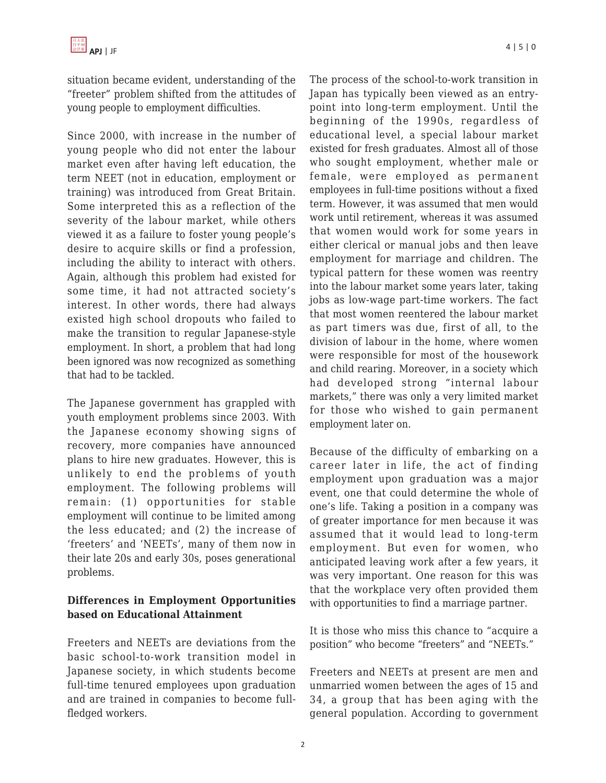situation became evident, understanding of the "freeter" problem shifted from the attitudes of young people to employment difficulties.

Since 2000, with increase in the number of young people who did not enter the labour market even after having left education, the term NEET (not in education, employment or training) was introduced from Great Britain. Some interpreted this as a reflection of the severity of the labour market, while others viewed it as a failure to foster young people's desire to acquire skills or find a profession, including the ability to interact with others. Again, although this problem had existed for some time, it had not attracted society's interest. In other words, there had always existed high school dropouts who failed to make the transition to regular Japanese-style employment. In short, a problem that had long been ignored was now recognized as something that had to be tackled.

The Japanese government has grappled with youth employment problems since 2003. With the Japanese economy showing signs of recovery, more companies have announced plans to hire new graduates. However, this is unlikely to end the problems of youth employment. The following problems will remain: (1) opportunities for stable employment will continue to be limited among the less educated; and (2) the increase of 'freeters' and 'NEETs', many of them now in their late 20s and early 30s, poses generational problems.

### **Differences in Employment Opportunities based on Educational Attainment**

Freeters and NEETs are deviations from the basic school-to-work transition model in Japanese society, in which students become full-time tenured employees upon graduation and are trained in companies to become fullfledged workers.

The process of the school-to-work transition in Japan has typically been viewed as an entrypoint into long-term employment. Until the beginning of the 1990s, regardless of educational level, a special labour market existed for fresh graduates. Almost all of those who sought employment, whether male or female, were employed as permanent employees in full-time positions without a fixed term. However, it was assumed that men would work until retirement, whereas it was assumed that women would work for some years in either clerical or manual jobs and then leave employment for marriage and children. The typical pattern for these women was reentry into the labour market some years later, taking jobs as low-wage part-time workers. The fact that most women reentered the labour market as part timers was due, first of all, to the division of labour in the home, where women were responsible for most of the housework and child rearing. Moreover, in a society which had developed strong "internal labour markets," there was only a very limited market for those who wished to gain permanent employment later on.

Because of the difficulty of embarking on a career later in life, the act of finding employment upon graduation was a major event, one that could determine the whole of one's life. Taking a position in a company was of greater importance for men because it was assumed that it would lead to long-term employment. But even for women, who anticipated leaving work after a few years, it was very important. One reason for this was that the workplace very often provided them with opportunities to find a marriage partner.

It is those who miss this chance to "acquire a position" who become "freeters" and "NEETs."

Freeters and NEETs at present are men and unmarried women between the ages of 15 and 34, a group that has been aging with the general population. According to government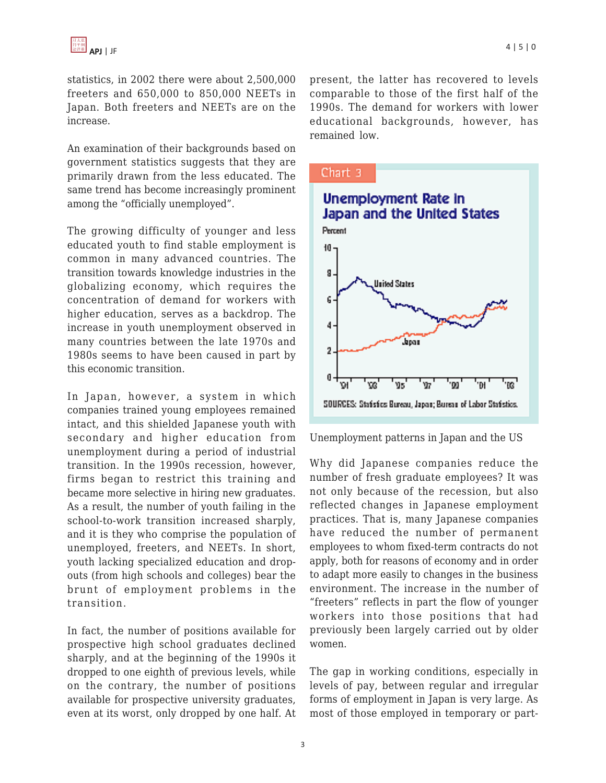statistics, in 2002 there were about 2,500,000 freeters and 650,000 to 850,000 NEETs in Japan. Both freeters and NEETs are on the increase.

An examination of their backgrounds based on government statistics suggests that they are primarily drawn from the less educated. The same trend has become increasingly prominent among the "officially unemployed".

The growing difficulty of younger and less educated youth to find stable employment is common in many advanced countries. The transition towards knowledge industries in the globalizing economy, which requires the concentration of demand for workers with higher education, serves as a backdrop. The increase in youth unemployment observed in many countries between the late 1970s and 1980s seems to have been caused in part by this economic transition.

In Japan, however, a system in which companies trained young employees remained intact, and this shielded Japanese youth with secondary and higher education from unemployment during a period of industrial transition. In the 1990s recession, however, firms began to restrict this training and became more selective in hiring new graduates. As a result, the number of youth failing in the school-to-work transition increased sharply, and it is they who comprise the population of unemployed, freeters, and NEETs. In short, youth lacking specialized education and dropouts (from high schools and colleges) bear the brunt of employment problems in the transition.

In fact, the number of positions available for prospective high school graduates declined sharply, and at the beginning of the 1990s it dropped to one eighth of previous levels, while on the contrary, the number of positions available for prospective university graduates, even at its worst, only dropped by one half. At present, the latter has recovered to levels comparable to those of the first half of the 1990s. The demand for workers with lower educational backgrounds, however, has remained low.



Unemployment patterns in Japan and the US

Why did Japanese companies reduce the number of fresh graduate employees? It was not only because of the recession, but also reflected changes in Japanese employment practices. That is, many Japanese companies have reduced the number of permanent employees to whom fixed-term contracts do not apply, both for reasons of economy and in order to adapt more easily to changes in the business environment. The increase in the number of "freeters" reflects in part the flow of younger workers into those positions that had previously been largely carried out by older women.

The gap in working conditions, especially in levels of pay, between regular and irregular forms of employment in Japan is very large. As most of those employed in temporary or part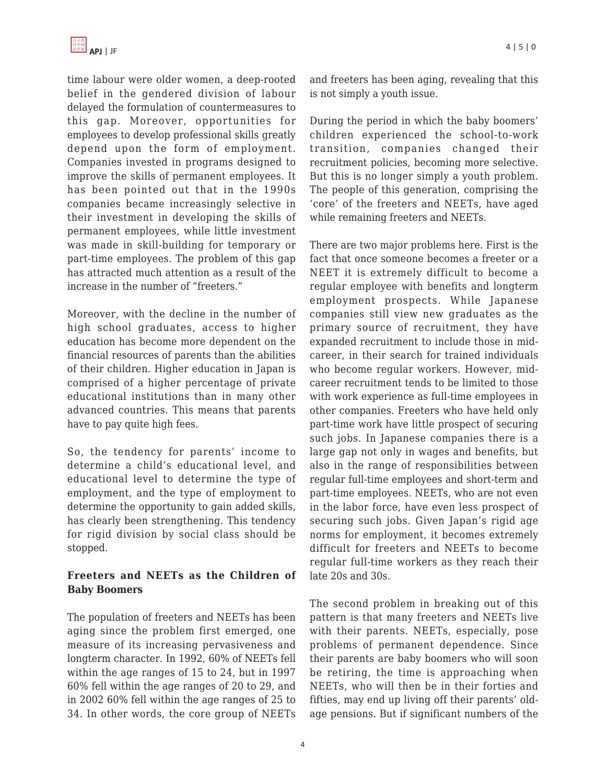time labour were older women, a deep-rooted belief in the gendered division of labour delayed the formulation of countermeasures to this gap. Moreover, opportunities for employees to develop professional skills greatly depend upon the form of employment. Companies invested in programs designed to improve the skills of permanent employees. It has been pointed out that in the 1990s companies became increasingly selective in their investment in developing the skills of permanent employees, while little investment was made in skill-building for temporary or part-time employees. The problem of this gap has attracted much attention as a result of the increase in the number of "freeters."

Moreover, with the decline in the number of high school graduates, access to higher education has become more dependent on the financial resources of parents than the abilities of their children. Higher education in Japan is comprised of a higher percentage of private educational institutions than in many other advanced countries. This means that parents have to pay quite high fees.

So, the tendency for parents' income to determine a child's educational level, and educational level to determine the type of employment, and the type of employment to determine the opportunity to gain added skills, has clearly been strengthening. This tendency for rigid division by social class should be stopped.

### **Freeters and NEETs as the Children of Baby Boomers**

The population of freeters and NEETs has been aging since the problem first emerged, one measure of its increasing pervasiveness and longterm character. In 1992, 60% of NEETs fell within the age ranges of 15 to 24, but in 1997 60% fell within the age ranges of 20 to 29, and in 2002 60% fell within the age ranges of 25 to 34. In other words, the core group of NEETs and freeters has been aging, revealing that this is not simply a youth issue.

During the period in which the baby boomers' children experienced the school-to-work transition, companies changed their recruitment policies, becoming more selective. But this is no longer simply a youth problem. The people of this generation, comprising the 'core' of the freeters and NEETs, have aged while remaining freeters and NEETs.

There are two major problems here. First is the fact that once someone becomes a freeter or a NEET it is extremely difficult to become a regular employee with benefits and longterm employment prospects. While Japanese companies still view new graduates as the primary source of recruitment, they have expanded recruitment to include those in midcareer, in their search for trained individuals who become regular workers. However, midcareer recruitment tends to be limited to those with work experience as full-time employees in other companies. Freeters who have held only part-time work have little prospect of securing such jobs. In Japanese companies there is a large gap not only in wages and benefits, but also in the range of responsibilities between regular full-time employees and short-term and part-time employees. NEETs, who are not even in the labor force, have even less prospect of securing such jobs. Given Japan's rigid age norms for employment, it becomes extremely difficult for freeters and NEETs to become regular full-time workers as they reach their late 20s and 30s.

The second problem in breaking out of this pattern is that many freeters and NEETs live with their parents. NEETs, especially, pose problems of permanent dependence. Since their parents are baby boomers who will soon be retiring, the time is approaching when NEETs, who will then be in their forties and fifties, may end up living off their parents' oldage pensions. But if significant numbers of the